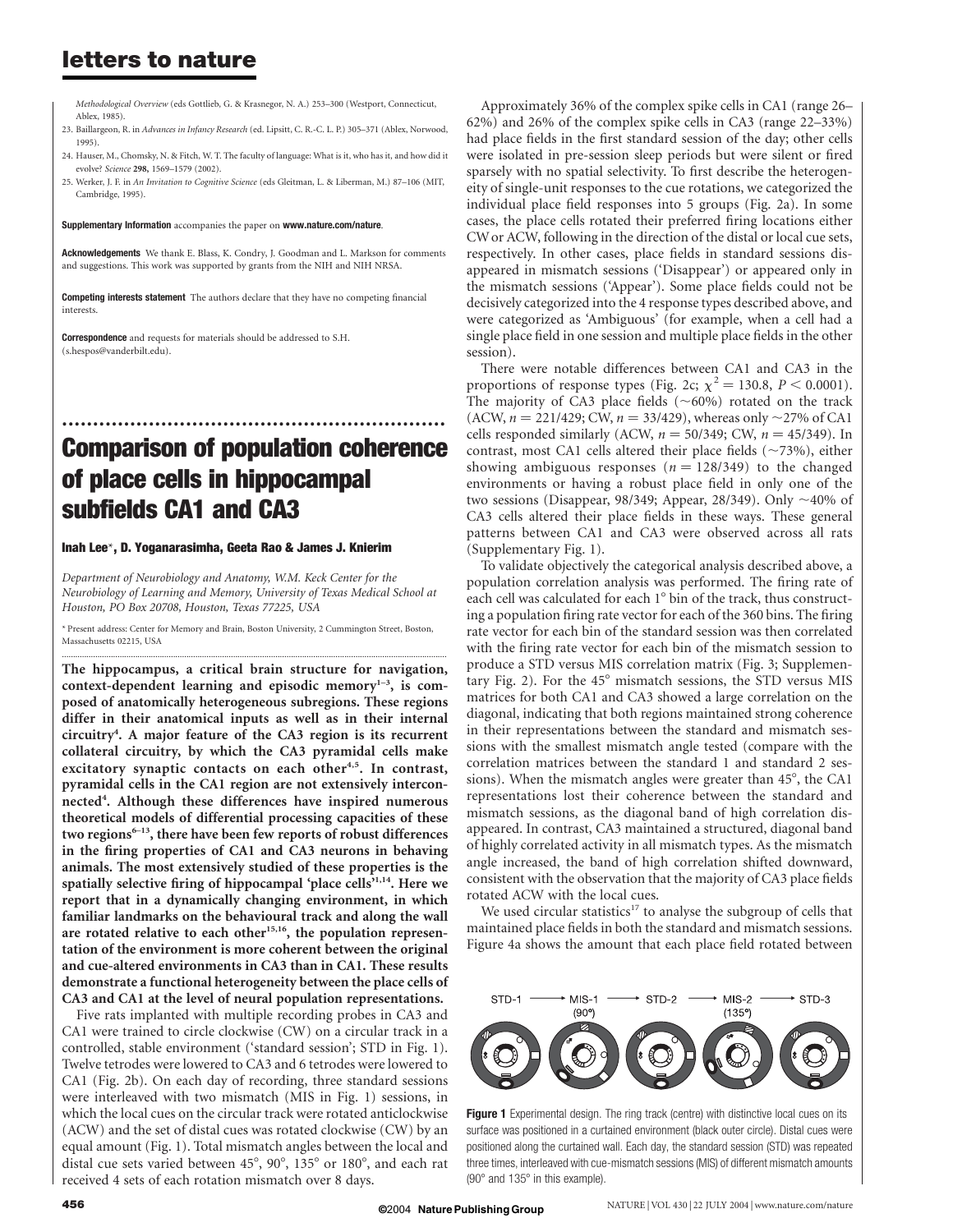## letters to nature

Methodological Overview (eds Gottlieb, G. & Krasnegor, N. A.) 253–300 (Westport, Connecticut, Ablex, 1985).

- 23. Baillargeon, R. in Advances in Infancy Research (ed. Lipsitt, C. R.-C. L. P.) 305–371 (Ablex, Norwood, 1995).
- 24. Hauser, M., Chomsky, N. & Fitch, W. T. The faculty of language: What is it, who has it, and how did it evolve? Science 298, 1569–1579 (2002).
- 25. Werker, J. F. in An Invitation to Cognitive Science (eds Gleitman, L. & Liberman, M.) 87–106 (MIT, Cambridge, 1995).

Supplementary Information accompanies the paper on www.nature.com/nature.

Acknowledgements We thank E. Blass, K. Condry, J. Goodman and L. Markson for comments and suggestions. This work was supported by grants from the NIH and NIH NRSA.

Competing interests statement The authors declare that they have no competing financial interests.

Correspondence and requests for materials should be addressed to S.H. (s.hespos@vanderbilt.edu).

# .............................................................. Comparison of population coherence of place cells in hippocampal subfields CA1 and CA3

#### Inah Lee\*, D. Yoganarasimha, Geeta Rao & James J. Knierim

Department of Neurobiology and Anatomy, W.M. Keck Center for the Neurobiology of Learning and Memory, University of Texas Medical School at Houston, PO Box 20708, Houston, Texas 77225, USA

\* Present address: Center for Memory and Brain, Boston University, 2 Cummington Street, Boston, Massachusetts 02215, USA .............................................................................................................................................................................

The hippocampus, a critical brain structure for navigation, context-dependent learning and episodic memory $1-3$ , is composed of anatomically heterogeneous subregions. These regions differ in their anatomical inputs as well as in their internal circuitry<sup>4</sup> . A major feature of the CA3 region is its recurrent collateral circuitry, by which the CA3 pyramidal cells make excitatory synaptic contacts on each other<sup>4,5</sup>. In contrast, pyramidal cells in the CA1 region are not extensively interconnected<sup>4</sup>. Although these differences have inspired numerous theoretical models of differential processing capacities of these two regions $6-13$ , there have been few reports of robust differences in the firing properties of CA1 and CA3 neurons in behaving animals. The most extensively studied of these properties is the spatially selective firing of hippocampal 'place cells'1,14. Here we report that in a dynamically changing environment, in which familiar landmarks on the behavioural track and along the wall are rotated relative to each other<sup>15,16</sup>, the population representation of the environment is more coherent between the original and cue-altered environments in CA3 than in CA1. These results demonstrate a functional heterogeneity between the place cells of CA3 and CA1 at the level of neural population representations.

Five rats implanted with multiple recording probes in CA3 and CA1 were trained to circle clockwise (CW) on a circular track in a controlled, stable environment ('standard session'; STD in Fig. 1). Twelve tetrodes were lowered to CA3 and 6 tetrodes were lowered to CA1 (Fig. 2b). On each day of recording, three standard sessions were interleaved with two mismatch (MIS in Fig. 1) sessions, in which the local cues on the circular track were rotated anticlockwise (ACW) and the set of distal cues was rotated clockwise (CW) by an equal amount (Fig. 1). Total mismatch angles between the local and distal cue sets varied between 45°, 90°, 135° or 180°, and each rat received 4 sets of each rotation mismatch over 8 days.

Approximately 36% of the complex spike cells in CA1 (range 26– 62%) and 26% of the complex spike cells in CA3 (range 22–33%) had place fields in the first standard session of the day; other cells were isolated in pre-session sleep periods but were silent or fired sparsely with no spatial selectivity. To first describe the heterogeneity of single-unit responses to the cue rotations, we categorized the individual place field responses into 5 groups (Fig. 2a). In some cases, the place cells rotated their preferred firing locations either CWor ACW, following in the direction of the distal or local cue sets, respectively. In other cases, place fields in standard sessions disappeared in mismatch sessions ('Disappear') or appeared only in the mismatch sessions ('Appear'). Some place fields could not be decisively categorized into the 4 response types described above, and were categorized as 'Ambiguous' (for example, when a cell had a single place field in one session and multiple place fields in the other session).

There were notable differences between CA1 and CA3 in the proportions of response types (Fig. 2c;  $\chi^2 = 130.8$ ,  $P < 0.0001$ ). The majority of CA3 place fields  $({\sim}60\%)$  rotated on the track (ACW,  $n = 221/429$ ; CW,  $n = 33/429$ ), whereas only  $\sim$ 27% of CA1 cells responded similarly (ACW,  $n = 50/349$ ; CW,  $n = 45/349$ ). In contrast, most CA1 cells altered their place fields  $(\sim 73\%)$ , either showing ambiguous responses ( $n = 128/349$ ) to the changed environments or having a robust place field in only one of the two sessions (Disappear, 98/349; Appear, 28/349). Only  $\sim$ 40% of CA3 cells altered their place fields in these ways. These general patterns between CA1 and CA3 were observed across all rats (Supplementary Fig. 1).

To validate objectively the categorical analysis described above, a population correlation analysis was performed. The firing rate of each cell was calculated for each 1° bin of the track, thus constructing a population firing rate vector for each of the 360 bins. The firing rate vector for each bin of the standard session was then correlated with the firing rate vector for each bin of the mismatch session to produce a STD versus MIS correlation matrix (Fig. 3; Supplementary Fig. 2). For the  $45^{\circ}$  mismatch sessions, the STD versus MIS matrices for both CA1 and CA3 showed a large correlation on the diagonal, indicating that both regions maintained strong coherence in their representations between the standard and mismatch sessions with the smallest mismatch angle tested (compare with the correlation matrices between the standard 1 and standard 2 sessions). When the mismatch angles were greater than  $45^\circ$ , the CA1 representations lost their coherence between the standard and mismatch sessions, as the diagonal band of high correlation disappeared. In contrast, CA3 maintained a structured, diagonal band of highly correlated activity in all mismatch types. As the mismatch angle increased, the band of high correlation shifted downward, consistent with the observation that the majority of CA3 place fields rotated ACW with the local cues.

We used circular statistics<sup>17</sup> to analyse the subgroup of cells that maintained place fields in both the standard and mismatch sessions. Figure 4a shows the amount that each place field rotated between



**Figure 1** Experimental design. The ring track (centre) with distinctive local cues on its surface was positioned in a curtained environment (black outer circle). Distal cues were positioned along the curtained wall. Each day, the standard session (STD) was repeated three times, interleaved with cue-mismatch sessions (MIS) of different mismatch amounts  $(90^\circ$  and  $135^\circ$  in this example).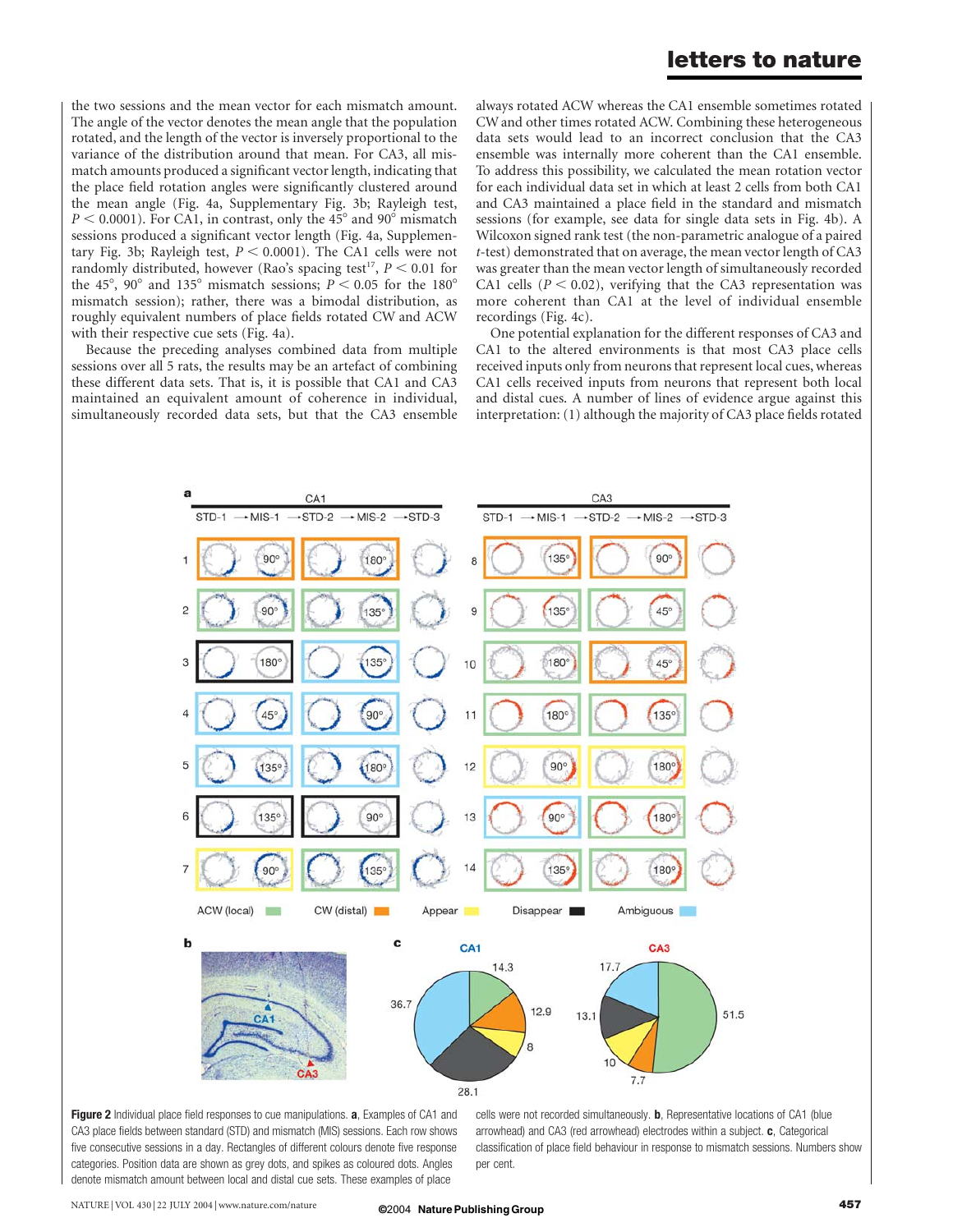### letters to nature

the two sessions and the mean vector for each mismatch amount. The angle of the vector denotes the mean angle that the population rotated, and the length of the vector is inversely proportional to the variance of the distribution around that mean. For CA3, all mismatch amounts produced a significant vector length, indicating that the place field rotation angles were significantly clustered around the mean angle (Fig. 4a, Supplementary Fig. 3b; Rayleigh test,  $P < 0.0001$ ). For CA1, in contrast, only the 45° and 90° mismatch sessions produced a significant vector length (Fig. 4a, Supplementary Fig. 3b; Rayleigh test,  $P < 0.0001$ ). The CA1 cells were not randomly distributed, however (Rao's spacing test<sup>17</sup>,  $P < 0.01$  for the 45°, 90° and 135° mismatch sessions;  $P < 0.05$  for the 180° mismatch session); rather, there was a bimodal distribution, as roughly equivalent numbers of place fields rotated CW and ACW with their respective cue sets (Fig. 4a).

Because the preceding analyses combined data from multiple sessions over all 5 rats, the results may be an artefact of combining these different data sets. That is, it is possible that CA1 and CA3 maintained an equivalent amount of coherence in individual, simultaneously recorded data sets, but that the CA3 ensemble

always rotated ACW whereas the CA1 ensemble sometimes rotated CW and other times rotated ACW. Combining these heterogeneous data sets would lead to an incorrect conclusion that the CA3 ensemble was internally more coherent than the CA1 ensemble. To address this possibility, we calculated the mean rotation vector for each individual data set in which at least 2 cells from both CA1 and CA3 maintained a place field in the standard and mismatch sessions (for example, see data for single data sets in Fig. 4b). A Wilcoxon signed rank test (the non-parametric analogue of a paired t-test) demonstrated that on average, the mean vector length of CA3 was greater than the mean vector length of simultaneously recorded CA1 cells ( $P < 0.02$ ), verifying that the CA3 representation was more coherent than CA1 at the level of individual ensemble recordings (Fig. 4c).

One potential explanation for the different responses of CA3 and CA1 to the altered environments is that most CA3 place cells received inputs only from neurons that represent local cues, whereas CA1 cells received inputs from neurons that represent both local and distal cues. A number of lines of evidence argue against this interpretation: (1) although the majority of CA3 place fields rotated



Figure 2 Individual place field responses to cue manipulations. a, Examples of CA1 and CA3 place fields between standard (STD) and mismatch (MIS) sessions. Each row shows five consecutive sessions in a day. Rectangles of different colours denote five response categories. Position data are shown as grey dots, and spikes as coloured dots. Angles denote mismatch amount between local and distal cue sets. These examples of place

cells were not recorded simultaneously. **b**, Representative locations of CA1 (blue arrowhead) and CA3 (red arrowhead) electrodes within a subject. c, Categorical classification of place field behaviour in response to mismatch sessions. Numbers show per cent.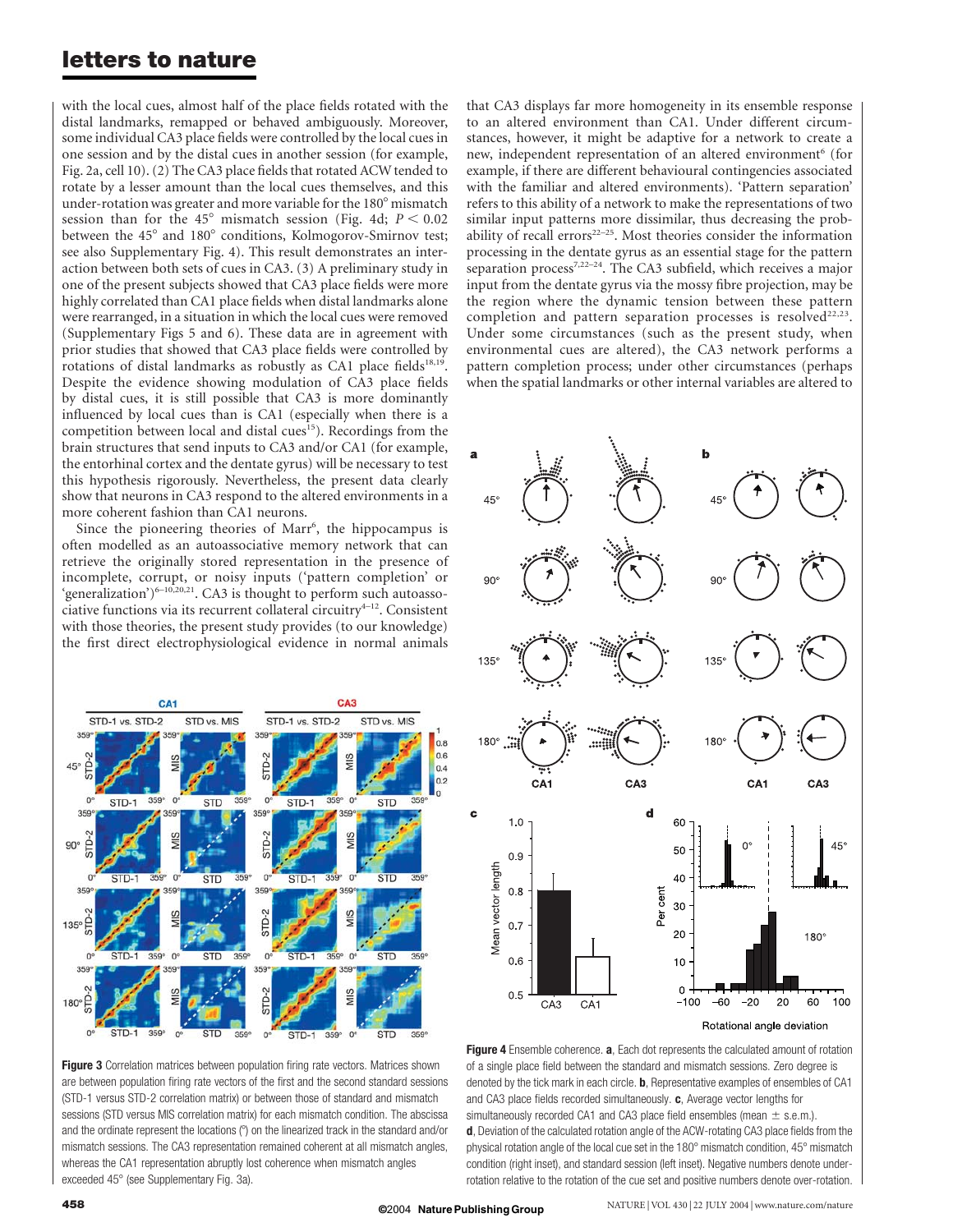### letters to nature

with the local cues, almost half of the place fields rotated with the distal landmarks, remapped or behaved ambiguously. Moreover, some individual CA3 place fields were controlled by the local cues in one session and by the distal cues in another session (for example, Fig. 2a, cell 10). (2) The CA3 place fields that rotated ACW tended to rotate by a lesser amount than the local cues themselves, and this under-rotation was greater and more variable for the 180° mismatch session than for the 45° mismatch session (Fig. 4d;  $P < 0.02$ ) between the 45° and 180° conditions, Kolmogorov-Smirnov test; see also Supplementary Fig. 4). This result demonstrates an interaction between both sets of cues in CA3. (3) A preliminary study in one of the present subjects showed that CA3 place fields were more highly correlated than CA1 place fields when distal landmarks alone were rearranged, in a situation in which the local cues were removed (Supplementary Figs 5 and 6). These data are in agreement with prior studies that showed that CA3 place fields were controlled by rotations of distal landmarks as robustly as CA1 place fields<sup>18,19</sup>. Despite the evidence showing modulation of CA3 place fields by distal cues, it is still possible that CA3 is more dominantly influenced by local cues than is CA1 (especially when there is a competition between local and distal cues<sup>15</sup>). Recordings from the brain structures that send inputs to CA3 and/or CA1 (for example, the entorhinal cortex and the dentate gyrus) will be necessary to test this hypothesis rigorously. Nevertheless, the present data clearly show that neurons in CA3 respond to the altered environments in a more coherent fashion than CA1 neurons.

Since the pioneering theories of Marr<sup>6</sup>, the hippocampus is often modelled as an autoassociative memory network that can retrieve the originally stored representation in the presence of incomplete, corrupt, or noisy inputs ('pattern completion' or 'generalization') $6-10,20,21$ . CA3 is thought to perform such autoassociative functions via its recurrent collateral circuitry $4-12$ . Consistent with those theories, the present study provides (to our knowledge) the first direct electrophysiological evidence in normal animals



Figure 3 Correlation matrices between population firing rate vectors. Matrices shown are between population firing rate vectors of the first and the second standard sessions (STD-1 versus STD-2 correlation matrix) or between those of standard and mismatch sessions (STD versus MIS correlation matrix) for each mismatch condition. The abscissa and the ordinate represent the locations (°) on the linearized track in the standard and/or mismatch sessions. The CA3 representation remained coherent at all mismatch angles, whereas the CA1 representation abruptly lost coherence when mismatch angles exceeded 45° (see Supplementary Fig. 3a).

that CA3 displays far more homogeneity in its ensemble response to an altered environment than CA1. Under different circumstances, however, it might be adaptive for a network to create a new, independent representation of an altered environment<sup>6</sup> (for example, if there are different behavioural contingencies associated with the familiar and altered environments). 'Pattern separation' refers to this ability of a network to make the representations of two similar input patterns more dissimilar, thus decreasing the probability of recall errors $22-25$ . Most theories consider the information processing in the dentate gyrus as an essential stage for the pattern separation process<sup>7,22-24</sup>. The CA3 subfield, which receives a major input from the dentate gyrus via the mossy fibre projection, may be the region where the dynamic tension between these pattern completion and pattern separation processes is resolved<sup>22,23</sup>. Under some circumstances (such as the present study, when environmental cues are altered), the CA3 network performs a pattern completion process; under other circumstances (perhaps when the spatial landmarks or other internal variables are altered to



Figure 4 Ensemble coherence. a, Each dot represents the calculated amount of rotation of a single place field between the standard and mismatch sessions. Zero degree is denoted by the tick mark in each circle. **b**, Representative examples of ensembles of CA1 and CA3 place fields recorded simultaneously. c, Average vector lengths for simultaneously recorded CA1 and CA3 place field ensembles (mean  $\pm$  s.e.m.). d, Deviation of the calculated rotation angle of the ACW-rotating CA3 place fields from the physical rotation angle of the local cue set in the 180° mismatch condition, 45° mismatch condition (right inset), and standard session (left inset). Negative numbers denote underrotation relative to the rotation of the cue set and positive numbers denote over-rotation.